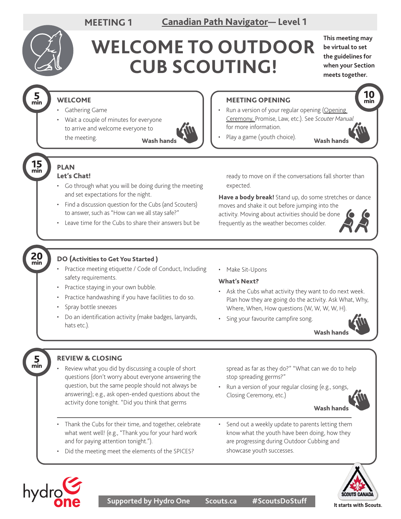



# **WELCOME TO OUTDOOR CUB SCOUTING!**

**This meeting may be virtual to set the guidelines for when your Section meets together.**

10 min

## WELCOME

- Gathering Game
- Wait a couple of minutes for everyone to arrive and welcome everyone to the meeting.



## MEETING OPENING

- Run a version of your regular opening (Opening [Ceremony](https://scoutsca.s3.amazonaws.com/2019/01/scouter-manual.pdf#page=64), Promise, Law, etc.). See *Scouter Manual* for more information.
- Play a game (youth choice). Wash hands Wash hands

15 min

5 min

#### PLAN Let's Chat!

- Go through what you will be doing during the meeting and set expectations for the night.
- Find a discussion question for the Cubs (and Scouters) to answer, such as "How can we all stay safe?"
- Leave time for the Cubs to share their answers but be

ready to move on if the conversations fall shorter than expected.

Have a body break! Stand up, do some stretches or dance moves and shake it out before jumping into the

activity. Moving about activities should be done frequently as the weather becomes colder.



#### 20 min

5 min

hydrg

#### DO (Activities to Get You Started )

- Practice meeting etiquette / Code of Conduct, Including safety requirements.
- Practice staying in your own bubble.
- Practice handwashing if you have facilities to do so.
- Spray bottle sneezes
- Do an identification activity (make badges, lanyards, hats etc.).
- Make Sit-Upons

#### What's Next?

- Ask the Cubs what activity they want to do next week. Plan how they are going do the activity. Ask What, Why, Where, When, How questions (W, W, W, W, H).
- Sing your favourite campfire song.



### REVIEW & CLOSING

Review what you did by discussing a couple of short questions (don't worry about everyone answering the question, but the same people should not always be answering); e.g., ask open-ended questions about the activity done tonight. "Did you think that germs

spread as far as they do?" "What can we do to help stop spreading germs?"

• Run a version of your regular closing (e.g., songs, Closing Ceremony, etc.)



- Thank the Cubs for their time, and together, celebrate what went well! (e.g., "Thank you for your hard work and for paying attention tonight.").
- Did the meeting meet the elements of the SPICES?
- Send out a weekly update to parents letting them know what the youth have been doing, how they are progressing during Outdoor Cubbing and showcase youth successes.